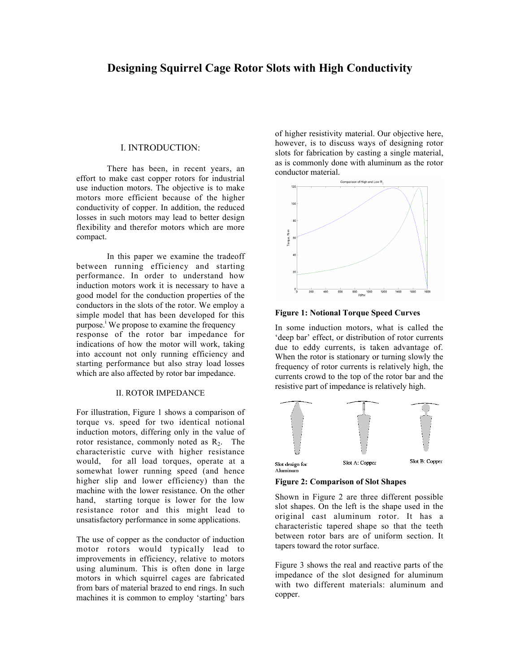# **Designing Squirrel Cage Rotor Slots with High Conductivity**

#### I. INTRODUCTION:

There has been, in recent years, an effort to make cast copper rotors for industrial use induction motors. The objective is to make motors more efficient because of the higher conductivity of copper. In addition, the reduced losses in such motors may lead to better design flexibility and therefor motors which are more compact.

In this paper we examine the tradeoff between running efficiency and starting performance. In order to understand how induction motors work it is necessary to have a good model for the conduction properties of the conductors in the slots of the rotor. We employ a simple model that has been developed for this purpose.<sup>1</sup> We propose to examine the frequency response of the rotor bar impedance for indications of how the motor will work, taking into account not only running efficiency and starting performance but also stray load losses which are also affected by rotor bar impedance.

## II. ROTOR IMPEDANCE

For illustration, Figure 1 shows a comparison of torque vs. speed for two identical notional induction motors, differing only in the value of rotor resistance, commonly noted as  $R_2$ . The characteristic curve with higher resistance would, for all load torques, operate at a somewhat lower running speed (and hence higher slip and lower efficiency) than the machine with the lower resistance. On the other hand, starting torque is lower for the low resistance rotor and this might lead to unsatisfactory performance in some applications.

The use of copper as the conductor of induction motor rotors would typically lead to improvements in efficiency, relative to motors using aluminum. This is often done in large motors in which squirrel cages are fabricated from bars of material brazed to end rings. In such machines it is common to employ 'starting' bars

of higher resistivity material. Our objective here, however, is to discuss ways of designing rotor slots for fabrication by casting a single material, as is commonly done with aluminum as the rotor conductor material.



**Figure 1: Notional Torque Speed Curves**

In some induction motors, what is called the 'deep bar' effect, or distribution of rotor currents due to eddy currents, is taken advantage of. When the rotor is stationary or turning slowly the frequency of rotor currents is relatively high, the currents crowd to the top of the rotor bar and the resistive part of impedance is relatively high.



**Figure 2: Comparison of Slot Shapes**

Shown in Figure 2 are three different possible slot shapes. On the left is the shape used in the original cast aluminum rotor. It has a characteristic tapered shape so that the teeth between rotor bars are of uniform section. It tapers toward the rotor surface.

Figure 3 shows the real and reactive parts of the impedance of the slot designed for aluminum with two different materials: aluminum and copper.